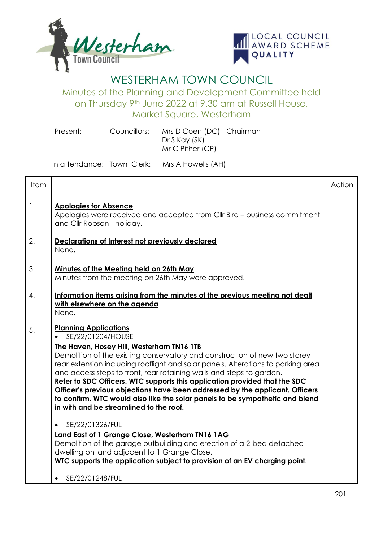



## WESTERHAM TOWN COUNCIL

Minutes of the Planning and Development Committee held on Thursday 9th June 2022 at 9.30 am at Russell House, Market Square, Westerham

Present: Councillors: Mrs D Coen (DC) - Chairman Dr S Kay (SK) Mr C Pither (CP)

In attendance: Town Clerk: Mrs A Howells (AH)

| Item |                                                                                                                                                                                                                                                                                                                                                                                                                                                                                                                                                                                                                                                                                                                                                                                                                                                                                                                                                | Action |
|------|------------------------------------------------------------------------------------------------------------------------------------------------------------------------------------------------------------------------------------------------------------------------------------------------------------------------------------------------------------------------------------------------------------------------------------------------------------------------------------------------------------------------------------------------------------------------------------------------------------------------------------------------------------------------------------------------------------------------------------------------------------------------------------------------------------------------------------------------------------------------------------------------------------------------------------------------|--------|
| 1.   | <b>Apologies for Absence</b><br>Apologies were received and accepted from Cllr Bird - business commitment<br>and Cllr Robson - holiday.                                                                                                                                                                                                                                                                                                                                                                                                                                                                                                                                                                                                                                                                                                                                                                                                        |        |
| 2.   | Declarations of Interest not previously declared<br>None.                                                                                                                                                                                                                                                                                                                                                                                                                                                                                                                                                                                                                                                                                                                                                                                                                                                                                      |        |
| 3.   | Minutes of the Meeting held on 26th May<br>Minutes from the meeting on 26th May were approved.                                                                                                                                                                                                                                                                                                                                                                                                                                                                                                                                                                                                                                                                                                                                                                                                                                                 |        |
| 4.   | Information items arising from the minutes of the previous meeting not dealt<br>with elsewhere on the agenda<br>None.                                                                                                                                                                                                                                                                                                                                                                                                                                                                                                                                                                                                                                                                                                                                                                                                                          |        |
| 5.   | <b>Planning Applications</b><br>SE/22/01204/HOUSE<br>The Haven, Hosey Hill, Westerham TN16 1TB<br>Demolition of the existing conservatory and construction of new two storey<br>rear extension including rooflight and solar panels. Alterations to parking area<br>and access steps to front, rear retaining walls and steps to garden.<br>Refer to SDC Officers. WTC supports this application provided that the SDC<br>Officer's previous objections have been addressed by the applicant. Officers<br>to confirm. WTC would also like the solar panels to be sympathetic and blend<br>in with and be streamlined to the roof.<br>SE/22/01326/FUL<br>$\bullet$<br>Land East of 1 Grange Close, Westerham TN16 1AG<br>Demolition of the garage outbuilding and erection of a 2-bed detached<br>dwelling on land adjacent to 1 Grange Close.<br>WTC supports the application subject to provision of an EV charging point.<br>SE/22/01248/FUL |        |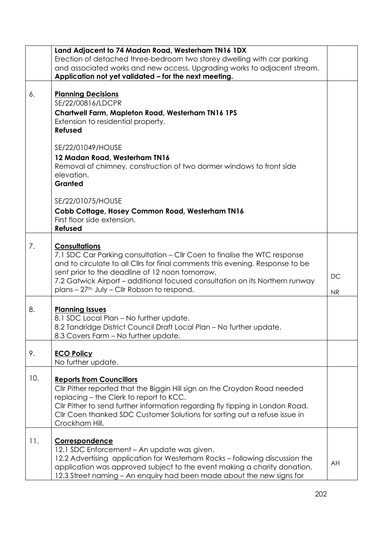|     | Land Adjacent to 74 Madan Road, Westerham TN16 1DX                            |    |
|-----|-------------------------------------------------------------------------------|----|
|     | Erection of detached three-bedroom two storey dwelling with car parking       |    |
|     | and associated works and new access. Upgrading works to adjacent stream.      |    |
|     | Application not yet validated - for the next meeting.                         |    |
|     |                                                                               |    |
| 6.  | <b>Planning Decisions</b>                                                     |    |
|     | SE/22/00816/LDCPR                                                             |    |
|     | Chartwell Farm, Mapleton Road, Westerham TN16 1PS                             |    |
|     | Extension to residential property.                                            |    |
|     | <b>Refused</b>                                                                |    |
|     |                                                                               |    |
|     | SE/22/01049/HOUSE                                                             |    |
|     | 12 Madan Road, Westerham TN16                                                 |    |
|     | Removal of chimney, construction of two dormer windows to front side          |    |
|     | elevation.                                                                    |    |
|     | Granted                                                                       |    |
|     |                                                                               |    |
|     | SE/22/01075/HOUSE                                                             |    |
|     |                                                                               |    |
|     | Cobb Cottage, Hosey Common Road, Westerham TN16                               |    |
|     | First floor side extension.                                                   |    |
|     | Refused                                                                       |    |
|     |                                                                               |    |
| 7.  | <b>Consultations</b>                                                          |    |
|     | 7.1 SDC Car Parking consultation – Cllr Coen to finalise the WTC response     |    |
|     | and to circulate to all Cllrs for final comments this evening. Response to be |    |
|     | sent prior to the deadline of 12 noon tomorrow.                               | DC |
|     | 7.2 Gatwick Airport – additional focused consultation on its Northern runway  |    |
|     | plans - 27 <sup>th</sup> July - Cllr Robson to respond.                       | NR |
|     |                                                                               |    |
| 8.  | <b>Planning Issues</b>                                                        |    |
|     | 8.1 SDC Local Plan - No further update.                                       |    |
|     | 8.2 Tandridge District Council Draft Local Plan - No further update.          |    |
|     | 8.3 Covers Farm - No further update.                                          |    |
|     |                                                                               |    |
| 9.  | <b>ECO Policy</b>                                                             |    |
|     | No further update.                                                            |    |
|     |                                                                               |    |
| 10. | <b>Reports from Councillors</b>                                               |    |
|     | Cllr Pither reported that the Biggin Hill sign on the Croydon Road needed     |    |
|     | replacing - the Clerk to report to KCC.                                       |    |
|     | Cllr Pither to send further information regarding fly tipping in London Road. |    |
|     | CIIr Coen thanked SDC Customer Solutions for sorting out a refuse issue in    |    |
|     | Crockham Hill.                                                                |    |
|     |                                                                               |    |
| 11. | Correspondence                                                                |    |
|     | 12.1 SDC Enforcement - An update was given.                                   |    |
|     | 12.2 Advertising application for Westerham Rocks - following discussion the   |    |
|     | application was approved subject to the event making a charity donation.      | AH |
|     |                                                                               |    |
|     | 12.3 Street naming - An enquiry had been made about the new signs for         |    |